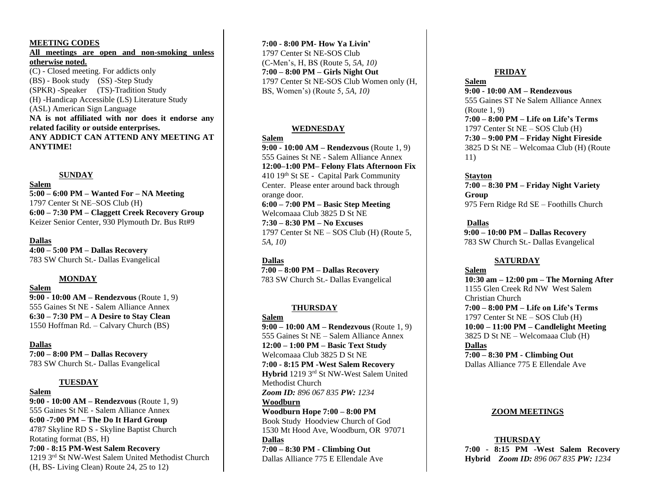#### **MEETING CODES**

**All meetings are open and non-smoking unless otherwise noted.** (C) - Closed meeting. For addicts only (BS) - Book study (SS) -Step Study (SPKR) -Speaker (TS)-Tradition Study (H) -Handicap Accessible (LS) Literature Study (ASL) American Sign Language **NA is not affiliated with nor does it endorse any** 

**related facility or outside enterprises. ANY ADDICT CAN ATTEND ANY MEETING AT ANYTIME!**

#### **SUNDAY**

#### **Salem**

**5:00 – 6:00 PM – Wanted For – NA Meeting** 1797 Center St NE–SOS Club (H) **6:00 – 7:30 PM – Claggett Creek Recovery Group** Keizer Senior Center, 930 Plymouth Dr. Bus Rt#9

#### **Dallas**

**4:00 – 5:00 PM – Dallas Recovery** 783 SW Church St.- Dallas Evangelical

#### **MONDAY**

**Salem**

**9:00 - 10:00 AM – Rendezvous** (Route 1, 9) 555 Gaines St NE - Salem Alliance Annex **6:30 – 7:30 PM – A Desire to Stay Clean** 1550 Hoffman Rd. – Calvary Church (BS)

**Dallas 7:00 – 8:00 PM – Dallas Recovery**

783 SW Church St.- Dallas Evangelical

#### **TUESDAY**

**Salem 9:00 - 10:00 AM – Rendezvous** (Route 1, 9) 555 Gaines St NE - Salem Alliance Annex **6:00 -7:00 PM – The Do It Hard Group** 4787 Skyline RD S - Skyline Baptist Church Rotating format (BS, H) **7:00 - 8:15 PM-West Salem Recovery** 1219 3rd St NW-West Salem United Methodist Church (H, BS- Living Clean) Route 24, 25 to 12)

**7:00 - 8:00 PM- How Ya Livin'** 1797 Center St NE-SOS Club (C-Men's, H, BS (Route 5*, 5A, 10)* **7:00 – 8:00 PM – Girls Night Out** 1797 Center St NE-SOS Club Women only (H, BS, Women's) (Route 5*, 5A, 10)*

#### **WEDNESDAY**

#### **Salem**

**9:00 - 10:00 AM – Rendezvous** (Route 1, 9) 555 Gaines St NE - Salem Alliance Annex **12:00–1:00 PM– Felony Flats Afternoon Fix** 410 19th St SE - Capital Park Community Center. Please enter around back through orange door. **6:00 – 7:00 PM – Basic Step Meeting**

Welcomaaa Club 3825 D St NE **7:30 – 8:30 PM – No Excuses** 1797 Center St NE – SOS Club (H) (Route 5*, 5A, 10)*

#### **Dallas**

 **7:00 – 8:00 PM – Dallas Recovery** 783 SW Church St.- Dallas Evangelical

#### **THURSDAY**

**Salem 9:00 – 10:00 AM – Rendezvous** (Route 1, 9) 555 Gaines St NE – Salem Alliance Annex **12:00 – 1:00 PM – Basic Text Study** Welcomaaa Club 3825 D St NE **7:00 - 8:15 PM -West Salem Recovery Hybrid** 1219 3rd St NW-West Salem United Methodist Church *Zoom ID: 896 067 835 PW: 1234* **Woodburn Woodburn Hope 7:00 – 8:00 PM** Book Study Hoodview Church of God

1530 Mt Hood Ave, Woodburn, OR 97071 **Dallas**

**7:00 – 8:30 PM - Climbing Out** Dallas Alliance 775 E Ellendale Ave

#### **FRIDAY**

#### **Salem**

**9:00 - 10:00 AM – Rendezvous** 555 Gaines ST Ne Salem Alliance Annex (Route 1, 9) **7:00 – 8:00 PM – Life on Life's Terms** 1797 Center St NE – SOS Club (H) **7:30 – 9:00 PM – Friday Night Fireside** 3825 D St NE – Welcomaa Club (H) (Route 11)

**Stayton**

**7:00 – 8:30 PM – Friday Night Variety Group** 975 Fern Ridge Rd SE – Foothills Church

**Dallas**

 **9:00 – 10:00 PM – Dallas Recovery** 783 SW Church St.- Dallas Evangelical

#### **SATURDAY**

**Salem 10:30 am – 12:00 pm – The Morning After** 1155 Glen Creek Rd NW West Salem Christian Church **7:00 – 8:00 PM – Life on Life's Terms** 1797 Center St NE – SOS Club (H) **10:00 – 11:00 PM – Candlelight Meeting** 3825 D St NE – Welcomaaa Club (H) **Dallas 7:00 – 8:30 PM - Climbing Out**

Dallas Alliance 775 E Ellendale Ave

#### **ZOOM MEETINGS**

**THURSDAY 7:00 - 8:15 PM -West Salem Recovery Hybrid** *Zoom ID: 896 067 835 PW: 1234*